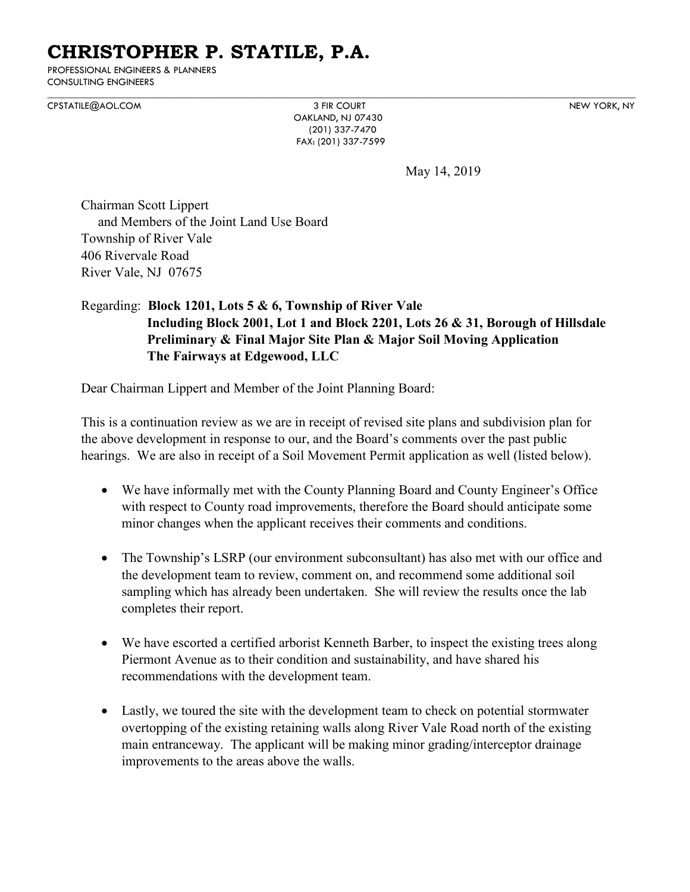# **CHRISTOPHER P. STATILE, P.A.**

PROFESSIONAL ENGINEERS & PLANNERS CONSULTING ENGINEERS

 $\mathcal{L}_\mathcal{L} = \{ \mathcal{L}_\mathcal{L} = \{ \mathcal{L}_\mathcal{L} = \{ \mathcal{L}_\mathcal{L} = \{ \mathcal{L}_\mathcal{L} = \{ \mathcal{L}_\mathcal{L} = \{ \mathcal{L}_\mathcal{L} = \{ \mathcal{L}_\mathcal{L} = \{ \mathcal{L}_\mathcal{L} = \{ \mathcal{L}_\mathcal{L} = \{ \mathcal{L}_\mathcal{L} = \{ \mathcal{L}_\mathcal{L} = \{ \mathcal{L}_\mathcal{L} = \{ \mathcal{L}_\mathcal{L} = \{ \mathcal{L}_\mathcal{$ [CPSTATILE@AOL.COM](mailto:CPSTATILE@AOL.COM) 3 FIR COURT NEW YORK, NY

 OAKLAND, NJ 07430 (201) 337-7470 FAX: (201) 337-7599

May 14, 2019

Chairman Scott Lippert and Members of the Joint Land Use Board Township of River Vale 406 Rivervale Road River Vale, NJ 07675

# Regarding: **Block 1201, Lots 5 & 6, Township of River Vale Including Block 2001, Lot 1 and Block 2201, Lots 26 & 31, Borough of Hillsdale Preliminary & Final Major Site Plan & Major Soil Moving Application The Fairways at Edgewood, LLC**

Dear Chairman Lippert and Member of the Joint Planning Board:

This is a continuation review as we are in receipt of revised site plans and subdivision plan for the above development in response to our, and the Board's comments over the past public hearings. We are also in receipt of a Soil Movement Permit application as well (listed below).

- We have informally met with the County Planning Board and County Engineer's Office with respect to County road improvements, therefore the Board should anticipate some minor changes when the applicant receives their comments and conditions.
- The Township's LSRP (our environment subconsultant) has also met with our office and the development team to review, comment on, and recommend some additional soil sampling which has already been undertaken. She will review the results once the lab completes their report.
- We have escorted a certified arborist Kenneth Barber, to inspect the existing trees along Piermont Avenue as to their condition and sustainability, and have shared his recommendations with the development team.
- Lastly, we toured the site with the development team to check on potential stormwater overtopping of the existing retaining walls along River Vale Road north of the existing main entranceway. The applicant will be making minor grading/interceptor drainage improvements to the areas above the walls.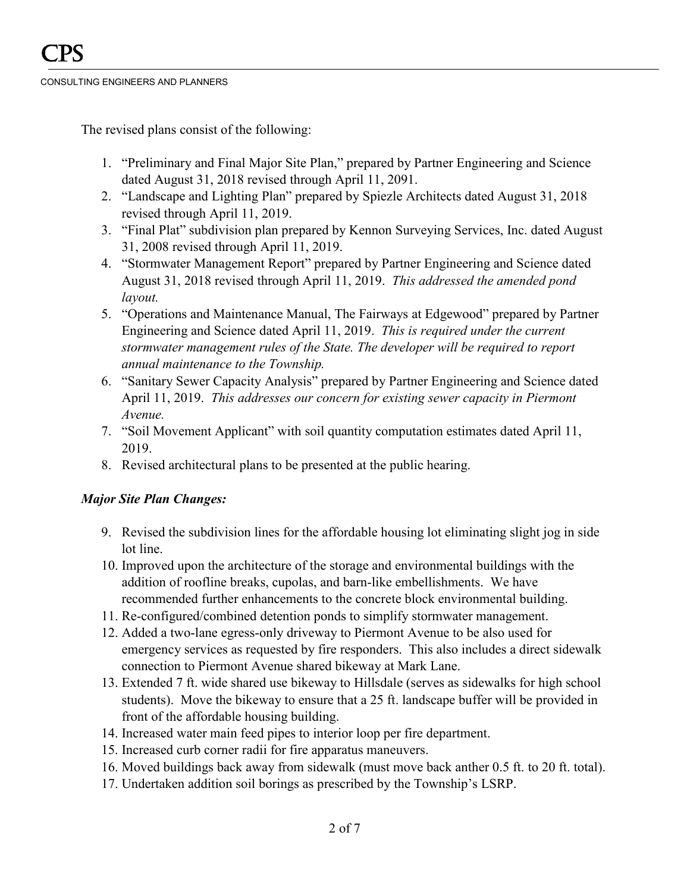The revised plans consist of the following:

- 1. "Preliminary and Final Major Site Plan," prepared by Partner Engineering and Science dated August 31, 2018 revised through April 11, 2091.
- 2. "Landscape and Lighting Plan" prepared by Spiezle Architects dated August 31, 2018 revised through April 11, 2019.
- 3. "Final Plat" subdivision plan prepared by Kennon Surveying Services, Inc. dated August 31, 2008 revised through April 11, 2019.
- 4. "Stormwater Management Report" prepared by Partner Engineering and Science dated August 31, 2018 revised through April 11, 2019. *This addressed the amended pond layout.*
- 5. "Operations and Maintenance Manual, The Fairways at Edgewood" prepared by Partner Engineering and Science dated April 11, 2019. *This is required under the current stormwater management rules of the State. The developer will be required to report annual maintenance to the Township.*
- 6. "Sanitary Sewer Capacity Analysis" prepared by Partner Engineering and Science dated April 11, 2019. *This addresses our concern for existing sewer capacity in Piermont Avenue.*
- 7. "Soil Movement Applicant" with soil quantity computation estimates dated April 11, 2019.
- 8. Revised architectural plans to be presented at the public hearing.

## *Major Site Plan Changes:*

- 9. Revised the subdivision lines for the affordable housing lot eliminating slight jog in side lot line.
- 10. Improved upon the architecture of the storage and environmental buildings with the addition of roofline breaks, cupolas, and barn-like embellishments. We have recommended further enhancements to the concrete block environmental building.
- 11. Re-configured/combined detention ponds to simplify stormwater management.
- 12. Added a two-lane egress-only driveway to Piermont Avenue to be also used for emergency services as requested by fire responders. This also includes a direct sidewalk connection to Piermont Avenue shared bikeway at Mark Lane.
- 13. Extended 7 ft. wide shared use bikeway to Hillsdale (serves as sidewalks for high school students). Move the bikeway to ensure that a 25 ft. landscape buffer will be provided in front of the affordable housing building.
- 14. Increased water main feed pipes to interior loop per fire department.
- 15. Increased curb corner radii for fire apparatus maneuvers.
- 16. Moved buildings back away from sidewalk (must move back anther 0.5 ft. to 20 ft. total).
- 17. Undertaken addition soil borings as prescribed by the Township's LSRP.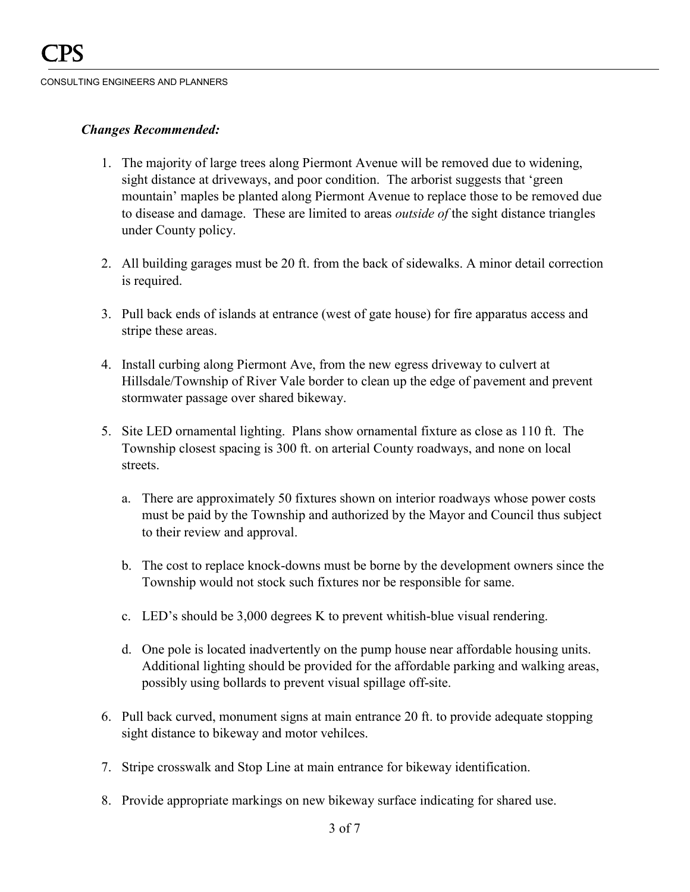## *Changes Recommended:*

- 1. The majority of large trees along Piermont Avenue will be removed due to widening, sight distance at driveways, and poor condition. The arborist suggests that 'green mountain' maples be planted along Piermont Avenue to replace those to be removed due to disease and damage. These are limited to areas *outside of* the sight distance triangles under County policy.
- 2. All building garages must be 20 ft. from the back of sidewalks. A minor detail correction is required.
- 3. Pull back ends of islands at entrance (west of gate house) for fire apparatus access and stripe these areas.
- 4. Install curbing along Piermont Ave, from the new egress driveway to culvert at Hillsdale/Township of River Vale border to clean up the edge of pavement and prevent stormwater passage over shared bikeway.
- 5. Site LED ornamental lighting. Plans show ornamental fixture as close as 110 ft. The Township closest spacing is 300 ft. on arterial County roadways, and none on local streets.
	- a. There are approximately 50 fixtures shown on interior roadways whose power costs must be paid by the Township and authorized by the Mayor and Council thus subject to their review and approval.
	- b. The cost to replace knock-downs must be borne by the development owners since the Township would not stock such fixtures nor be responsible for same.
	- c. LED's should be 3,000 degrees K to prevent whitish-blue visual rendering.
	- d. One pole is located inadvertently on the pump house near affordable housing units. Additional lighting should be provided for the affordable parking and walking areas, possibly using bollards to prevent visual spillage off-site.
- 6. Pull back curved, monument signs at main entrance 20 ft. to provide adequate stopping sight distance to bikeway and motor vehilces.
- 7. Stripe crosswalk and Stop Line at main entrance for bikeway identification.
- 8. Provide appropriate markings on new bikeway surface indicating for shared use.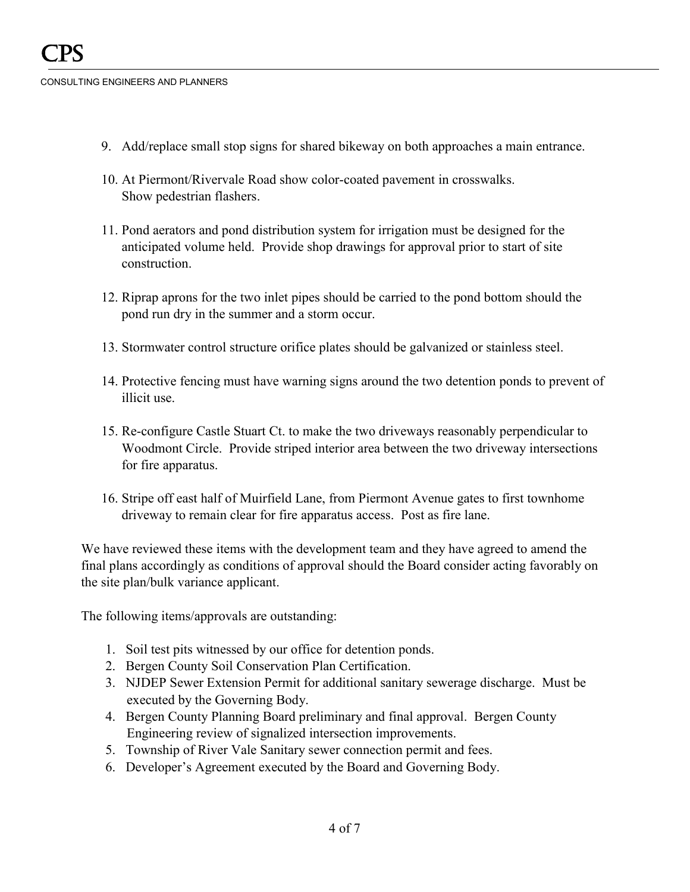- 9. Add/replace small stop signs for shared bikeway on both approaches a main entrance.
- 10. At Piermont/Rivervale Road show color-coated pavement in crosswalks. Show pedestrian flashers.
- 11. Pond aerators and pond distribution system for irrigation must be designed for the anticipated volume held. Provide shop drawings for approval prior to start of site construction.
- 12. Riprap aprons for the two inlet pipes should be carried to the pond bottom should the pond run dry in the summer and a storm occur.
- 13. Stormwater control structure orifice plates should be galvanized or stainless steel.
- 14. Protective fencing must have warning signs around the two detention ponds to prevent of illicit use.
- 15. Re-configure Castle Stuart Ct. to make the two driveways reasonably perpendicular to Woodmont Circle. Provide striped interior area between the two driveway intersections for fire apparatus.
- 16. Stripe off east half of Muirfield Lane, from Piermont Avenue gates to first townhome driveway to remain clear for fire apparatus access. Post as fire lane.

We have reviewed these items with the development team and they have agreed to amend the final plans accordingly as conditions of approval should the Board consider acting favorably on the site plan/bulk variance applicant.

The following items/approvals are outstanding:

- 1. Soil test pits witnessed by our office for detention ponds.
- 2. Bergen County Soil Conservation Plan Certification.
- 3. NJDEP Sewer Extension Permit for additional sanitary sewerage discharge. Must be executed by the Governing Body.
- 4. Bergen County Planning Board preliminary and final approval. Bergen County Engineering review of signalized intersection improvements.
- 5. Township of River Vale Sanitary sewer connection permit and fees.
- 6. Developer's Agreement executed by the Board and Governing Body.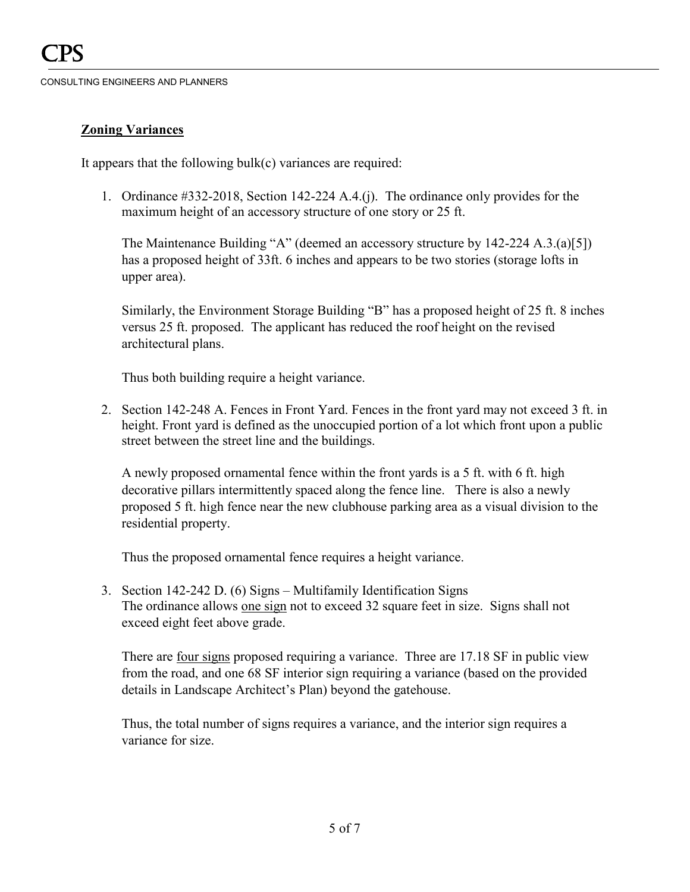# **Zoning Variances**

It appears that the following bulk(c) variances are required:

1. Ordinance #332-2018, Section 142-224 A.4.(j). The ordinance only provides for the maximum height of an accessory structure of one story or 25 ft.

The Maintenance Building "A" (deemed an accessory structure by 142-224 A.3.(a)[5]) has a proposed height of 33ft. 6 inches and appears to be two stories (storage lofts in upper area).

Similarly, the Environment Storage Building "B" has a proposed height of 25 ft. 8 inches versus 25 ft. proposed. The applicant has reduced the roof height on the revised architectural plans.

Thus both building require a height variance.

2. Section 142-248 A. Fences in Front Yard. Fences in the front yard may not exceed 3 ft. in height. Front yard is defined as the unoccupied portion of a lot which front upon a public street between the street line and the buildings.

A newly proposed ornamental fence within the front yards is a 5 ft. with 6 ft. high decorative pillars intermittently spaced along the fence line. There is also a newly proposed 5 ft. high fence near the new clubhouse parking area as a visual division to the residential property.

Thus the proposed ornamental fence requires a height variance.

3. Section 142-242 D. (6) Signs – Multifamily Identification Signs The ordinance allows one sign not to exceed 32 square feet in size. Signs shall not exceed eight feet above grade.

There are four signs proposed requiring a variance. Three are 17.18 SF in public view from the road, and one 68 SF interior sign requiring a variance (based on the provided details in Landscape Architect's Plan) beyond the gatehouse.

Thus, the total number of signs requires a variance, and the interior sign requires a variance for size.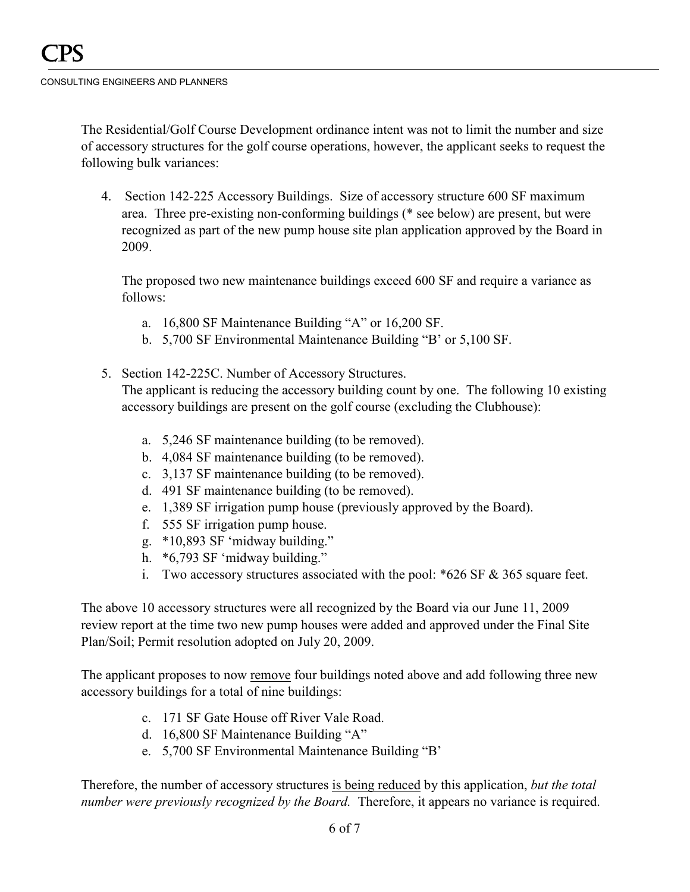The Residential/Golf Course Development ordinance intent was not to limit the number and size of accessory structures for the golf course operations, however, the applicant seeks to request the following bulk variances:

4. Section 142-225 Accessory Buildings. Size of accessory structure 600 SF maximum area. Three pre-existing non-conforming buildings (\* see below) are present, but were recognized as part of the new pump house site plan application approved by the Board in 2009.

The proposed two new maintenance buildings exceed 600 SF and require a variance as follows:

- a. 16,800 SF Maintenance Building "A" or 16,200 SF.
- b. 5,700 SF Environmental Maintenance Building "B' or 5,100 SF.
- 5. Section 142-225C. Number of Accessory Structures.

The applicant is reducing the accessory building count by one. The following 10 existing accessory buildings are present on the golf course (excluding the Clubhouse):

- a. 5,246 SF maintenance building (to be removed).
- b. 4,084 SF maintenance building (to be removed).
- c. 3,137 SF maintenance building (to be removed).
- d. 491 SF maintenance building (to be removed).
- e. 1,389 SF irrigation pump house (previously approved by the Board).
- f. 555 SF irrigation pump house.
- g. \*10,893 SF 'midway building."
- h. \*6,793 SF 'midway building."
- i. Two accessory structures associated with the pool: \*626 SF & 365 square feet.

The above 10 accessory structures were all recognized by the Board via our June 11, 2009 review report at the time two new pump houses were added and approved under the Final Site Plan/Soil; Permit resolution adopted on July 20, 2009.

The applicant proposes to now remove four buildings noted above and add following three new accessory buildings for a total of nine buildings:

- c. 171 SF Gate House off River Vale Road.
- d. 16,800 SF Maintenance Building "A"
- e. 5,700 SF Environmental Maintenance Building "B'

Therefore, the number of accessory structures is being reduced by this application, *but the total number were previously recognized by the Board.* Therefore, it appears no variance is required.